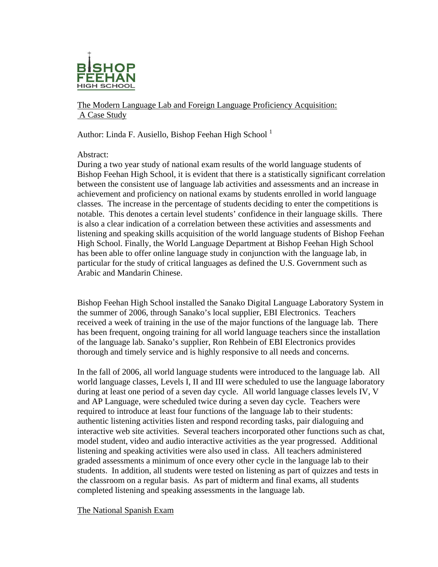

The Modern Language Lab and Foreign Language Proficiency Acquisition: A Case Study

Author: Linda F. Ausiello, Bishop Feehan High School<sup>1</sup>

Abstract:

During a two year study of national exam results of the world language students of Bishop Feehan High School, it is evident that there is a statistically significant correlation between the consistent use of language lab activities and assessments and an increase in achievement and proficiency on national exams by students enrolled in world language classes. The increase in the percentage of students deciding to enter the competitions is notable. This denotes a certain level students' confidence in their language skills. There is also a clear indication of a correlation between these activities and assessments and listening and speaking skills acquisition of the world language students of Bishop Feehan High School. Finally, the World Language Department at Bishop Feehan High School has been able to offer online language study in conjunction with the language lab, in particular for the study of critical languages as defined the U.S. Government such as Arabic and Mandarin Chinese.

Bishop Feehan High School installed the Sanako Digital Language Laboratory System in the summer of 2006, through Sanako's local supplier, EBI Electronics. Teachers received a week of training in the use of the major functions of the language lab. There has been frequent, ongoing training for all world language teachers since the installation of the language lab. Sanako's supplier, Ron Rehbein of EBI Electronics provides thorough and timely service and is highly responsive to all needs and concerns.

In the fall of 2006, all world language students were introduced to the language lab. All world language classes, Levels I, II and III were scheduled to use the language laboratory during at least one period of a seven day cycle. All world language classes levels IV, V and AP Language, were scheduled twice during a seven day cycle. Teachers were required to introduce at least four functions of the language lab to their students: authentic listening activities listen and respond recording tasks, pair dialoguing and interactive web site activities. Several teachers incorporated other functions such as chat, model student, video and audio interactive activities as the year progressed. Additional listening and speaking activities were also used in class. All teachers administered graded assessments a minimum of once every other cycle in the language lab to their students. In addition, all students were tested on listening as part of quizzes and tests in the classroom on a regular basis. As part of midterm and final exams, all students completed listening and speaking assessments in the language lab.

The National Spanish Exam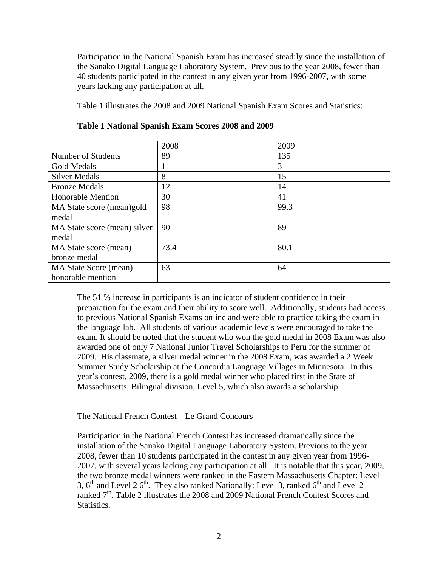Participation in the National Spanish Exam has increased steadily since the installation of the Sanako Digital Language Laboratory System. Previous to the year 2008, fewer than 40 students participated in the contest in any given year from 1996-2007, with some years lacking any participation at all.

Table 1 illustrates the 2008 and 2009 National Spanish Exam Scores and Statistics:

|                              | 2008 | 2009 |
|------------------------------|------|------|
| Number of Students           | 89   | 135  |
| Gold Medals                  |      | 3    |
| <b>Silver Medals</b>         | 8    | 15   |
| <b>Bronze Medals</b>         | 12   | 14   |
| <b>Honorable Mention</b>     | 30   | 41   |
| MA State score (mean)gold    | 98   | 99.3 |
| medal                        |      |      |
| MA State score (mean) silver | 90   | 89   |
| medal                        |      |      |
| MA State score (mean)        | 73.4 | 80.1 |
| bronze medal                 |      |      |
| <b>MA State Score (mean)</b> | 63   | 64   |
| honorable mention            |      |      |

**Table 1 National Spanish Exam Scores 2008 and 2009** 

The 51 % increase in participants is an indicator of student confidence in their preparation for the exam and their ability to score well. Additionally, students had access to previous National Spanish Exams online and were able to practice taking the exam in the language lab. All students of various academic levels were encouraged to take the exam. It should be noted that the student who won the gold medal in 2008 Exam was also awarded one of only 7 National Junior Travel Scholarships to Peru for the summer of 2009. His classmate, a silver medal winner in the 2008 Exam, was awarded a 2 Week Summer Study Scholarship at the Concordia Language Villages in Minnesota. In this year's contest, 2009, there is a gold medal winner who placed first in the State of Massachusetts, Bilingual division, Level 5, which also awards a scholarship.

## The National French Contest – Le Grand Concours

Participation in the National French Contest has increased dramatically since the installation of the Sanako Digital Language Laboratory System. Previous to the year 2008, fewer than 10 students participated in the contest in any given year from 1996- 2007, with several years lacking any participation at all. It is notable that this year, 2009, the two bronze medal winners were ranked in the Eastern Massachusetts Chapter: Level 3,  $6<sup>th</sup>$  and Level 2  $6<sup>th</sup>$ . They also ranked Nationally: Level 3, ranked  $6<sup>th</sup>$  and Level 2 ranked 7<sup>th</sup>. Table 2 illustrates the 2008 and 2009 National French Contest Scores and Statistics.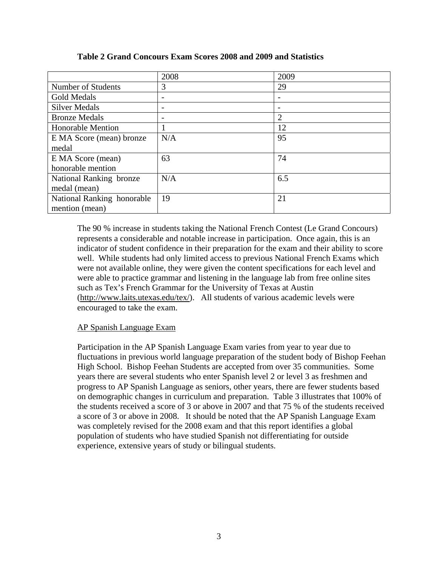|                            | 2008 | 2009                     |
|----------------------------|------|--------------------------|
| Number of Students         | 3    | 29                       |
| Gold Medals                | -    | $\overline{\phantom{a}}$ |
| <b>Silver Medals</b>       |      |                          |
| <b>Bronze Medals</b>       |      | $\overline{2}$           |
| <b>Honorable Mention</b>   |      | 12                       |
| E MA Score (mean) bronze   | N/A  | 95                       |
| medal                      |      |                          |
| E MA Score (mean)          | 63   | 74                       |
| honorable mention          |      |                          |
| National Ranking bronze    | N/A  | 6.5                      |
| medal (mean)               |      |                          |
| National Ranking honorable | 19   | 21                       |
| mention (mean)             |      |                          |

# **Table 2 Grand Concours Exam Scores 2008 and 2009 and Statistics**

The 90 % increase in students taking the National French Contest (Le Grand Concours) represents a considerable and notable increase in participation. Once again, this is an indicator of student confidence in their preparation for the exam and their ability to score well. While students had only limited access to previous National French Exams which were not available online, they were given the content specifications for each level and were able to practice grammar and listening in the language lab from free online sites such as Tex's French Grammar for the University of Texas at Austin (http://www.laits.utexas.edu/tex/). All students of various academic levels were encouraged to take the exam.

## AP Spanish Language Exam

Participation in the AP Spanish Language Exam varies from year to year due to fluctuations in previous world language preparation of the student body of Bishop Feehan High School. Bishop Feehan Students are accepted from over 35 communities. Some years there are several students who enter Spanish level 2 or level 3 as freshmen and progress to AP Spanish Language as seniors, other years, there are fewer students based on demographic changes in curriculum and preparation. Table 3 illustrates that 100% of the students received a score of 3 or above in 2007 and that 75 % of the students received a score of 3 or above in 2008. It should be noted that the AP Spanish Language Exam was completely revised for the 2008 exam and that this report identifies a global population of students who have studied Spanish not differentiating for outside experience, extensive years of study or bilingual students.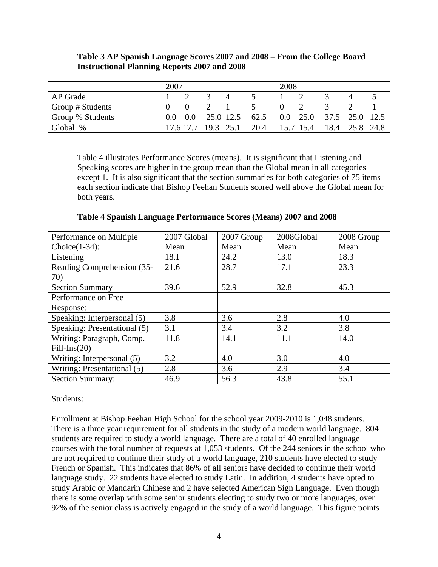#### **Table 3 AP Spanish Language Scores 2007 and 2008 – From the College Board Instructional Planning Reports 2007 and 2008**

|                  | 2007 |        |           | 2008      |      |         |           |      |      |      |
|------------------|------|--------|-----------|-----------|------|---------|-----------|------|------|------|
| AP Grade         |      |        |           |           |      |         |           |      |      |      |
| Group # Students |      |        |           |           |      |         |           |      |      |      |
| Group % Students |      | 0.0    |           | 25.0 12.5 | 62.5 | $0.0\,$ | 25.0      | 37.5 | 25.0 |      |
| Global %         |      | 176177 | 19.3 25.1 |           | 20.4 |         | 15.7 15.4 | 18.4 | 25.8 | 24.8 |

Table 4 illustrates Performance Scores (means). It is significant that Listening and Speaking scores are higher in the group mean than the Global mean in all categories except 1. It is also significant that the section summaries for both categories of 75 items each section indicate that Bishop Feehan Students scored well above the Global mean for both years.

| Performance on Multiple      | 2007 Global | 2007 Group | 2008Global | 2008 Group |  |  |
|------------------------------|-------------|------------|------------|------------|--|--|
| $Choice(1-34)$ :             | Mean        | Mean       | Mean       | Mean       |  |  |
| Listening                    | 18.1        | 24.2       | 13.0       | 18.3       |  |  |
| Reading Comprehension (35-   | 21.6        | 28.7       | 17.1       | 23.3       |  |  |
| 70)                          |             |            |            |            |  |  |
| <b>Section Summary</b>       | 39.6        | 52.9       | 32.8       | 45.3       |  |  |
| Performance on Free          |             |            |            |            |  |  |
| Response:                    |             |            |            |            |  |  |
| Speaking: Interpersonal (5)  | 3.8         | 3.6        | 2.8        | 4.0        |  |  |
| Speaking: Presentational (5) | 3.1         | 3.4        | 3.2        | 3.8        |  |  |
| Writing: Paragraph, Comp.    | 11.8        | 14.1       | 11.1       | 14.0       |  |  |
| $Fill-Ins(20)$               |             |            |            |            |  |  |
| Writing: Interpersonal (5)   | 3.2         | 4.0        | 3.0        | 4.0        |  |  |
| Writing: Presentational (5)  | 2.8         | 3.6        | 2.9        | 3.4        |  |  |
| <b>Section Summary:</b>      | 46.9        | 56.3       | 43.8       | 55.1       |  |  |

**Table 4 Spanish Language Performance Scores (Means) 2007 and 2008** 

#### Students:

Enrollment at Bishop Feehan High School for the school year 2009-2010 is 1,048 students. There is a three year requirement for all students in the study of a modern world language. 804 students are required to study a world language. There are a total of 40 enrolled language courses with the total number of requests at 1,053 students. Of the 244 seniors in the school who are not required to continue their study of a world language, 210 students have elected to study French or Spanish. This indicates that 86% of all seniors have decided to continue their world language study. 22 students have elected to study Latin. In addition, 4 students have opted to study Arabic or Mandarin Chinese and 2 have selected American Sign Language. Even though there is some overlap with some senior students electing to study two or more languages, over 92% of the senior class is actively engaged in the study of a world language. This figure points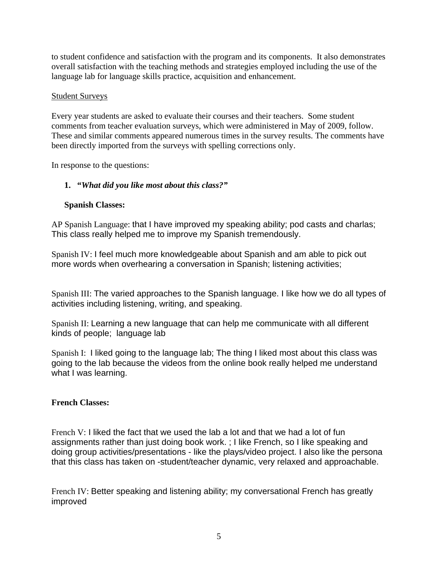to student confidence and satisfaction with the program and its components. It also demonstrates overall satisfaction with the teaching methods and strategies employed including the use of the language lab for language skills practice, acquisition and enhancement.

#### Student Surveys

Every year students are asked to evaluate their courses and their teachers. Some student comments from teacher evaluation surveys, which were administered in May of 2009, follow. These and similar comments appeared numerous times in the survey results. The comments have been directly imported from the surveys with spelling corrections only.

In response to the questions:

## **1. "***What did you like most about this class?"*

## **Spanish Classes:**

AP Spanish Language: that I have improved my speaking ability; pod casts and charlas; This class really helped me to improve my Spanish tremendously.

Spanish IV: I feel much more knowledgeable about Spanish and am able to pick out more words when overhearing a conversation in Spanish; listening activities;

Spanish III: The varied approaches to the Spanish language. I like how we do all types of activities including listening, writing, and speaking.

Spanish II: Learning a new language that can help me communicate with all different kinds of people; language lab

Spanish I: I liked going to the language lab; The thing I liked most about this class was going to the lab because the videos from the online book really helped me understand what I was learning.

## **French Classes:**

French V: I liked the fact that we used the lab a lot and that we had a lot of fun assignments rather than just doing book work. ; I like French, so I like speaking and doing group activities/presentations - like the plays/video project. I also like the persona that this class has taken on -student/teacher dynamic, very relaxed and approachable.

French IV: Better speaking and listening ability; my conversational French has greatly improved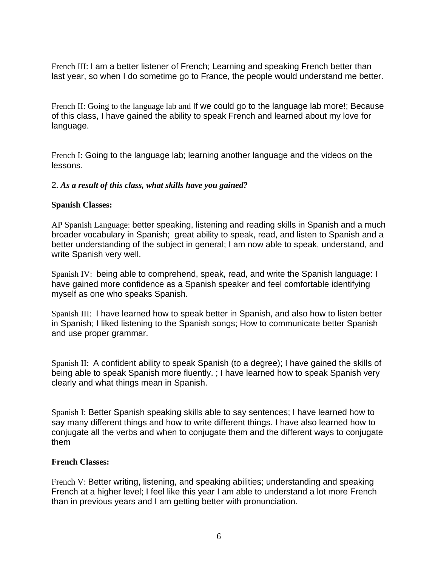French III: I am a better listener of French; Learning and speaking French better than last year, so when I do sometime go to France, the people would understand me better.

French II: Going to the language lab and If we could go to the language lab more!; Because of this class, I have gained the ability to speak French and learned about my love for language.

French I: Going to the language lab; learning another language and the videos on the lessons.

#### 2. *As a result of this class, what skills have you gained?*

#### **Spanish Classes:**

AP Spanish Language: better speaking, listening and reading skills in Spanish and a much broader vocabulary in Spanish; great ability to speak, read, and listen to Spanish and a better understanding of the subject in general; I am now able to speak, understand, and write Spanish very well.

Spanish IV: being able to comprehend, speak, read, and write the Spanish language: I have gained more confidence as a Spanish speaker and feel comfortable identifying myself as one who speaks Spanish.

Spanish III: I have learned how to speak better in Spanish, and also how to listen better in Spanish; I liked listening to the Spanish songs; How to communicate better Spanish and use proper grammar.

Spanish II: A confident ability to speak Spanish (to a degree); I have gained the skills of being able to speak Spanish more fluently. ; I have learned how to speak Spanish very clearly and what things mean in Spanish.

Spanish I: Better Spanish speaking skills able to say sentences; I have learned how to say many different things and how to write different things. I have also learned how to conjugate all the verbs and when to conjugate them and the different ways to conjugate them

#### **French Classes:**

French V: Better writing, listening, and speaking abilities; understanding and speaking French at a higher level; I feel like this year I am able to understand a lot more French than in previous years and I am getting better with pronunciation.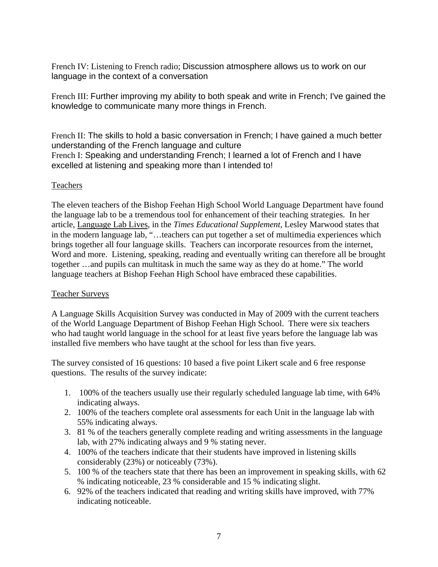French IV: Listening to French radio; Discussion atmosphere allows us to work on our language in the context of a conversation

French III: Further improving my ability to both speak and write in French; I've gained the knowledge to communicate many more things in French.

French II: The skills to hold a basic conversation in French; I have gained a much better understanding of the French language and culture French I: Speaking and understanding French; I learned a lot of French and I have excelled at listening and speaking more than I intended to!

## Teachers

The eleven teachers of the Bishop Feehan High School World Language Department have found the language lab to be a tremendous tool for enhancement of their teaching strategies. In her article, Language Lab Lives, in the *Times Educational Supplement,* Lesley Marwood states that in the modern language lab, "…teachers can put together a set of multimedia experiences which brings together all four language skills. Teachers can incorporate resources from the internet, Word and more. Listening, speaking, reading and eventually writing can therefore all be brought together …and pupils can multitask in much the same way as they do at home." The world language teachers at Bishop Feehan High School have embraced these capabilities.

## Teacher Surveys

A Language Skills Acquisition Survey was conducted in May of 2009 with the current teachers of the World Language Department of Bishop Feehan High School. There were six teachers who had taught world language in the school for at least five years before the language lab was installed five members who have taught at the school for less than five years.

The survey consisted of 16 questions: 10 based a five point Likert scale and 6 free response questions. The results of the survey indicate:

- 1. 100% of the teachers usually use their regularly scheduled language lab time, with 64% indicating always.
- 2. 100% of the teachers complete oral assessments for each Unit in the language lab with 55% indicating always.
- 3. 81 % of the teachers generally complete reading and writing assessments in the language lab, with 27% indicating always and 9 % stating never.
- 4. 100% of the teachers indicate that their students have improved in listening skills considerably (23%) or noticeably (73%).
- 5. 100 % of the teachers state that there has been an improvement in speaking skills, with 62 % indicating noticeable, 23 % considerable and 15 % indicating slight.
- 6. 92% of the teachers indicated that reading and writing skills have improved, with 77% indicating noticeable.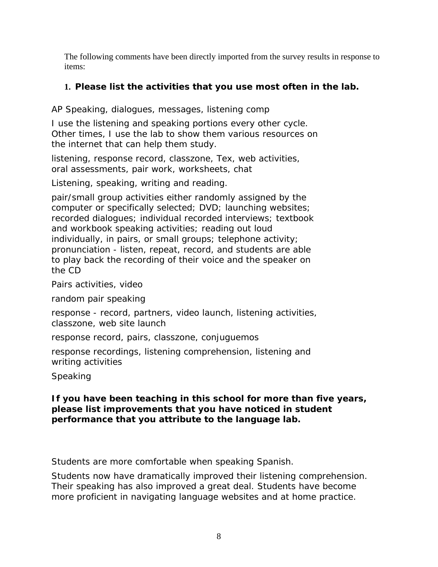The following comments have been directly imported from the survey results in response to items:

# **1.** *Please list the activities that you use most often in the lab.*

AP Speaking, dialogues, messages, listening comp

I use the listening and speaking portions every other cycle. Other times, I use the lab to show them various resources on the internet that can help them study.

listening, response record, classzone, Tex, web activities, oral assessments, pair work, worksheets, chat

Listening, speaking, writing and reading.

pair/small group activities either randomly assigned by the computer or specifically selected; DVD; launching websites; recorded dialogues; individual recorded interviews; textbook and workbook speaking activities; reading out loud individually, in pairs, or small groups; telephone activity; pronunciation - listen, repeat, record, and students are able to play back the recording of their voice and the speaker on the CD

Pairs activities, video

random pair speaking

response - record, partners, video launch, listening activities, classzone, web site launch

response record, pairs, classzone, conjuguemos

response recordings, listening comprehension, listening and writing activities

Speaking

# *If you have been teaching in this school for more than five years, please list improvements that you have noticed in student performance that you attribute to the language lab.*

Students are more comfortable when speaking Spanish.

Students now have dramatically improved their listening comprehension. Their speaking has also improved a great deal. Students have become more proficient in navigating language websites and at home practice.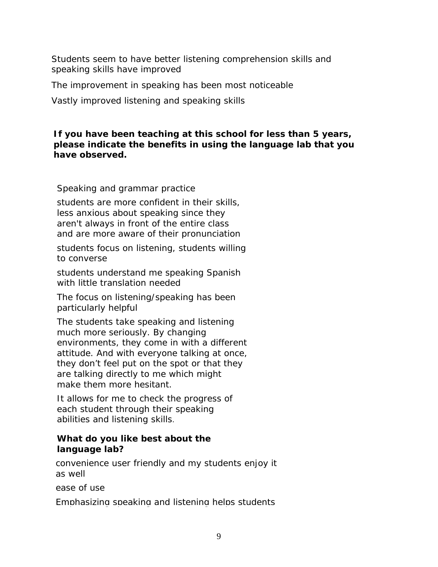Students seem to have better listening comprehension skills and speaking skills have improved

The improvement in speaking has been most noticeable

Vastly improved listening and speaking skills

# *If you have been teaching at this school for less than 5 years, please indicate the benefits in using the language lab that you have observed.*

Speaking and grammar practice

students are more confident in their skills, less anxious about speaking since they aren't always in front of the entire class and are more aware of their pronunciation

students focus on listening, students willing to converse

students understand me speaking Spanish with little translation needed

The focus on listening/speaking has been particularly helpful

The students take speaking and listening much more seriously. By changing environments, they come in with a different attitude. And with everyone talking at once, they don't feel put on the spot or that they are talking directly to me which might make them more hesitant.

It allows for me to check the progress of each student through their speaking abilities and listening skills.

# *What do you like best about the language lab?*

convenience user friendly and my students enjoy it as well

ease of use

Emphasizing speaking and listening helps students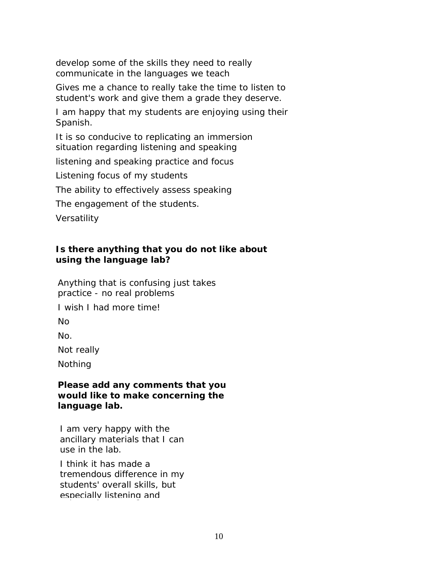develop some of the skills they need to really communicate in the languages we teach

Gives me a chance to really take the time to listen to student's work and give them a grade they deserve.

I am happy that my students are enjoying using their Spanish.

It is so conducive to replicating an immersion situation regarding listening and speaking

listening and speaking practice and focus

Listening focus of my students

The ability to effectively assess speaking

The engagement of the students.

**Versatility** 

# *Is there anything that you do not like about using the language lab?*

Anything that is confusing just takes practice - no real problems

I wish I had more time!

No

No.

Not really

Nothing

## *Please add any comments that you would like to make concerning the language lab.*

I am very happy with the ancillary materials that I can use in the lab.

I think it has made a tremendous difference in my students' overall skills, but especially listening and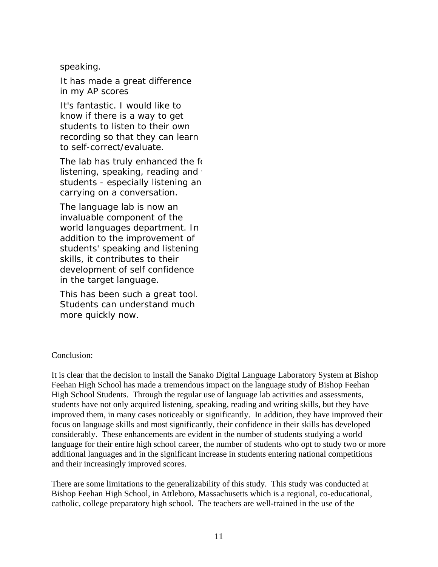## speaking.

It has made a great difference in my AP scores

It's fantastic. I would like to know if there is a way to get students to listen to their own recording so that they can learn to self-correct/evaluate.

The lab has truly enhanced the fo listening, speaking, reading and  $\cdot$ students - especially listening an carrying on a conversation.

The language lab is now an invaluable component of the world languages department. In addition to the improvement of students' speaking and listening skills, it contributes to their development of self confidence in the target language.

This has been such a great tool. Students can understand much more quickly now.

#### Conclusion:

It is clear that the decision to install the Sanako Digital Language Laboratory System at Bishop Feehan High School has made a tremendous impact on the language study of Bishop Feehan High School Students. Through the regular use of language lab activities and assessments, students have not only acquired listening, speaking, reading and writing skills, but they have improved them, in many cases noticeably or significantly. In addition, they have improved their focus on language skills and most significantly, their confidence in their skills has developed considerably. These enhancements are evident in the number of students studying a world language for their entire high school career, the number of students who opt to study two or more additional languages and in the significant increase in students entering national competitions and their increasingly improved scores.

There are some limitations to the generalizability of this study. This study was conducted at Bishop Feehan High School, in Attleboro, Massachusetts which is a regional, co-educational, catholic, college preparatory high school. The teachers are well-trained in the use of the